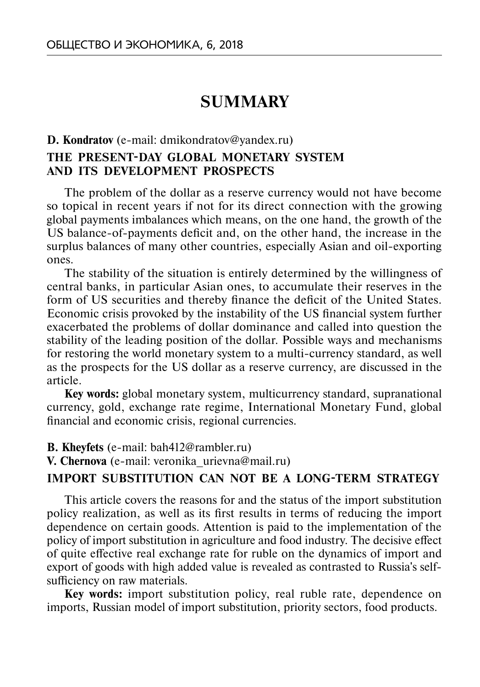# **SUMMARY**

## **D. Kondratov** (e-mail: dmikondratov@yandex.ru) **THE PRESENT-DAY GLOBAL MONETARY SYSTEM AND ITS DEVELOPMENT PROSPECTS**

The problem of the dollar as a reserve currency would not have become so topical in recent years if not for its direct connection with the growing global payments imbalances which means, on the one hand, the growth of the US balance-of-payments deficit and, on the other hand, the increase in the surplus balances of many other countries, especially Asian and oil-exporting ones.

The stability of the situation is entirely determined by the willingness of central banks, in particular Asian ones, to accumulate their reserves in the form of US securities and thereby finance the deficit of the United States. Economic crisis provoked by the instability of the US financial system further exacerbated the problems of dollar dominance and called into question the stability of the leading position of the dollar. Possible ways and mechanisms for restoring the world monetary system to a multi-currency standard, as well as the prospects for the US dollar as a reserve currency, are discussed in the article.

**Key words:** global monetary system, multicurrency standard, supranational currency, gold, exchange rate regime, International Monetary Fund, global financial and economic crisis, regional currencies.

- **B. Kheyfets** (е-mail: bah412@rambler.ru)
- **V. Chernova** (е-mail: veronika\_urievna@mail.ru)

### **IMPORT SUBSTITUTION CAN NOT BE A LONG-TERM STRATEGY**

This article covers the reasons for and the status of the import substitution policy realization, as well as its first results in terms of reducing the import dependence on certain goods. Attention is paid to the implementation of the policy of import substitution in agriculture and food industry. The decisive effect of quite effective real exchange rate for ruble on the dynamics of import and export of goods with high added value is revealed as contrasted to Russia's selfsufficiency on raw materials.

**Key words:** import substitution policy, real ruble rate, dependence on imports, Russian model of import substitution, priority sectors, food products.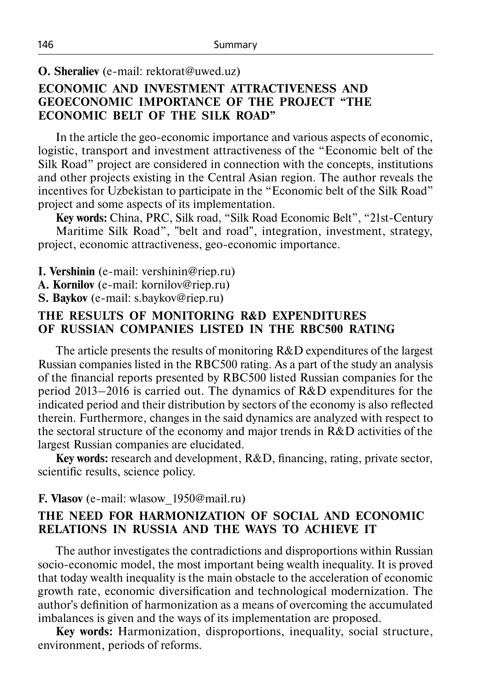#### **О. Sheraliev** (e-mail: rektorat@uwed.uz)

### **ECONOMIC AND INVESTMENT ATTRACTIVENESS AND GEOECONOMIC IMPORTANCE OF THE PROJECT "THE ECONOMIC BELT OF THE SILK ROAD"**

In the article the geo-economic importance and various aspects of economic, logistic, transport and investment attractiveness of the "Economic belt of the Silk Road" project are considered in connection with the concepts, institutions and other projects existing in the Central Asian region. The author reveals the incentives for Uzbekistan to participate in the "Economic belt of the Silk Road" project and some aspects of its implementation.

**Key words:** China, PRC, Silk road, "Silk Road Economic Belt", "21st-Century Maritime Silk Road", "belt and road", integration, investment, strategy, project, economic attractiveness, geo-economic importance.

**I. Vershinin** (e-mail: vershinin@riep.ru)

**A. Kornilov** (e-mail: kornilov@riep.ru)

**S. Baykov** (e-mail: s.baykov@riep.ru)

### **THE RESULTS OF MONITORING R&D EXPENDITURES OF RUSSIAN COMPANIES LISTED IN THE RBC500 RATING**

The article presents the results of monitoring R&D expenditures of the largest Russian companies listed in the RBC500 rating. As a part of the study an analysis of the financial reports presented by RBC500 listed Russian companies for the period 2013–2016 is carried out. The dynamics of R&D expenditures for the indicated period and their distribution by sectors of the economy is also reflected therein. Furthermore, changes in the said dynamics are analyzed with respect to the sectoral structure of the economy and major trends in R&D activities of the largest Russian companies are elucidated.

**Key words:** research and development, R&D, financing, rating, private sector, scientific results, science policy.

#### **F. Vlasov** (e-mail: wlasow\_1950@mail.ru)

#### **THE NEED FOR HARMONIZATION OF SOCIAL AND ECONOMIC RELATIONS IN RUSSIA AND THE WAYS TO ACHIEVE IT**

The author investigates the contradictions and disproportions within Russian socio-economic model, the most important being wealth inequality. It is proved that today wealth inequality is the main obstacle to the acceleration of economic growth rate, economic diversification and technological modernization. The author's definition of harmonization as a means of overcoming the accumulated imbalances is given and the ways of its implementation are proposed.

**Key words:** Harmonization, disproportions, inequality, social structure, environment, periods of reforms.